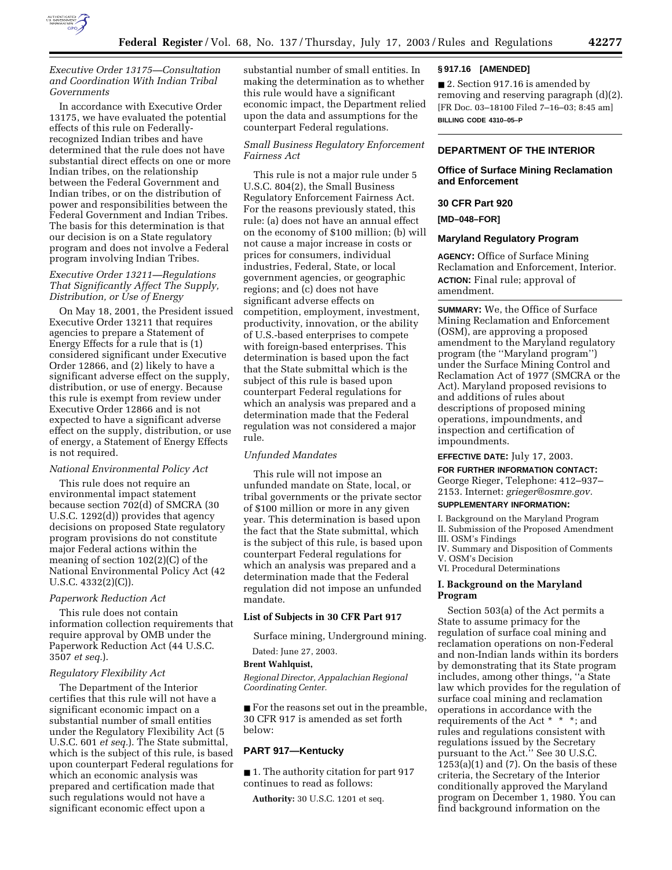

### *Executive Order 13175—Consultation and Coordination With Indian Tribal Governments*

In accordance with Executive Order 13175, we have evaluated the potential effects of this rule on Federallyrecognized Indian tribes and have determined that the rule does not have substantial direct effects on one or more Indian tribes, on the relationship between the Federal Government and Indian tribes, or on the distribution of power and responsibilities between the Federal Government and Indian Tribes. The basis for this determination is that our decision is on a State regulatory program and does not involve a Federal program involving Indian Tribes.

### *Executive Order 13211—Regulations That Significantly Affect The Supply, Distribution, or Use of Energy*

On May 18, 2001, the President issued Executive Order 13211 that requires agencies to prepare a Statement of Energy Effects for a rule that is (1) considered significant under Executive Order 12866, and (2) likely to have a significant adverse effect on the supply, distribution, or use of energy. Because this rule is exempt from review under Executive Order 12866 and is not expected to have a significant adverse effect on the supply, distribution, or use of energy, a Statement of Energy Effects is not required.

### *National Environmental Policy Act*

This rule does not require an environmental impact statement because section 702(d) of SMCRA (30 U.S.C. 1292(d)) provides that agency decisions on proposed State regulatory program provisions do not constitute major Federal actions within the meaning of section 102(2)(C) of the National Environmental Policy Act (42 U.S.C. 4332(2)(C)).

#### *Paperwork Reduction Act*

This rule does not contain information collection requirements that require approval by OMB under the Paperwork Reduction Act (44 U.S.C. 3507 *et seq.*).

#### *Regulatory Flexibility Act*

The Department of the Interior certifies that this rule will not have a significant economic impact on a substantial number of small entities under the Regulatory Flexibility Act (5 U.S.C. 601 *et seq.*). The State submittal, which is the subject of this rule, is based upon counterpart Federal regulations for which an economic analysis was prepared and certification made that such regulations would not have a significant economic effect upon a

substantial number of small entities. In making the determination as to whether this rule would have a significant economic impact, the Department relied upon the data and assumptions for the counterpart Federal regulations.

# *Small Business Regulatory Enforcement Fairness Act*

This rule is not a major rule under 5 U.S.C. 804(2), the Small Business Regulatory Enforcement Fairness Act. For the reasons previously stated, this rule: (a) does not have an annual effect on the economy of \$100 million; (b) will not cause a major increase in costs or prices for consumers, individual industries, Federal, State, or local government agencies, or geographic regions; and (c) does not have significant adverse effects on competition, employment, investment, productivity, innovation, or the ability of U.S.-based enterprises to compete with foreign-based enterprises. This determination is based upon the fact that the State submittal which is the subject of this rule is based upon counterpart Federal regulations for which an analysis was prepared and a determination made that the Federal regulation was not considered a major rule.

#### *Unfunded Mandates*

This rule will not impose an unfunded mandate on State, local, or tribal governments or the private sector of \$100 million or more in any given year. This determination is based upon the fact that the State submittal, which is the subject of this rule, is based upon counterpart Federal regulations for which an analysis was prepared and a determination made that the Federal regulation did not impose an unfunded mandate.

# **List of Subjects in 30 CFR Part 917**

Surface mining, Underground mining.

# Dated: June 27, 2003.

# **Brent Wahlquist,**

*Regional Director, Appalachian Regional Coordinating Center.*

■ For the reasons set out in the preamble, 30 CFR 917 is amended as set forth below:

# **PART 917—Kentucky**

■ 1. The authority citation for part 917 continues to read as follows:

**Authority:** 30 U.S.C. 1201 et seq.

### **§ 917.16 [AMENDED]**

■ 2. Section 917.16 is amended by removing and reserving paragraph (d)(2). [FR Doc. 03–18100 Filed 7–16–03; 8:45 am] **BILLING CODE 4310–05–P**

# **DEPARTMENT OF THE INTERIOR**

**Office of Surface Mining Reclamation and Enforcement** 

### **30 CFR Part 920**

**[MD–048–FOR]** 

#### **Maryland Regulatory Program**

**AGENCY:** Office of Surface Mining Reclamation and Enforcement, Interior. **ACTION:** Final rule; approval of amendment.

**SUMMARY:** We, the Office of Surface Mining Reclamation and Enforcement (OSM), are approving a proposed amendment to the Maryland regulatory program (the ''Maryland program'') under the Surface Mining Control and Reclamation Act of 1977 (SMCRA or the Act). Maryland proposed revisions to and additions of rules about descriptions of proposed mining operations, impoundments, and inspection and certification of impoundments.

**EFFECTIVE DATE:** July 17, 2003.

### **FOR FURTHER INFORMATION CONTACT:**

George Rieger, Telephone: 412–937– 2153. Internet: *grieger@osmre.gov.*

# **SUPPLEMENTARY INFORMATION:**

I. Background on the Maryland Program II. Submission of the Proposed Amendment III. OSM's Findings IV. Summary and Disposition of Comments

V. OSM's Decision VI. Procedural Determinations

### **I. Background on the Maryland Program**

Section 503(a) of the Act permits a State to assume primacy for the regulation of surface coal mining and reclamation operations on non-Federal and non-Indian lands within its borders by demonstrating that its State program includes, among other things, ''a State law which provides for the regulation of surface coal mining and reclamation operations in accordance with the requirements of the Act \* \* \*; and rules and regulations consistent with regulations issued by the Secretary pursuant to the Act.'' See 30 U.S.C.  $1253(a)(1)$  and  $(7)$ . On the basis of these criteria, the Secretary of the Interior conditionally approved the Maryland program on December 1, 1980. You can find background information on the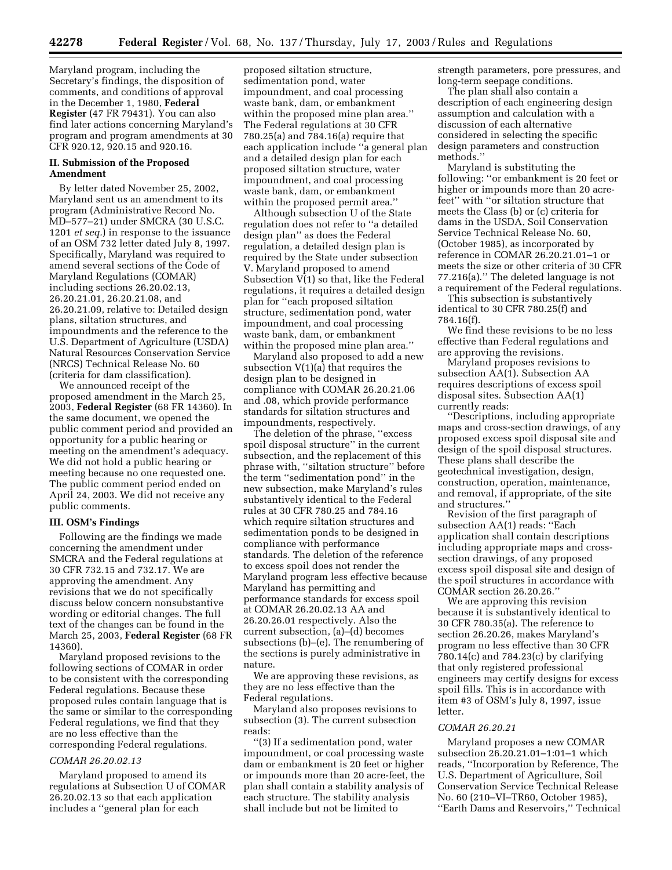Maryland program, including the Secretary's findings, the disposition of comments, and conditions of approval in the December 1, 1980, **Federal Register** (47 FR 79431). You can also find later actions concerning Maryland's program and program amendments at 30 CFR 920.12, 920.15 and 920.16.

### **II. Submission of the Proposed Amendment**

By letter dated November 25, 2002, Maryland sent us an amendment to its program (Administrative Record No. MD–577–21) under SMCRA (30 U.S.C. 1201 *et seq.*) in response to the issuance of an OSM 732 letter dated July 8, 1997. Specifically, Maryland was required to amend several sections of the Code of Maryland Regulations (COMAR) including sections 26.20.02.13, 26.20.21.01, 26.20.21.08, and 26.20.21.09, relative to: Detailed design plans, siltation structures, and impoundments and the reference to the U.S. Department of Agriculture (USDA) Natural Resources Conservation Service (NRCS) Technical Release No. 60 (criteria for dam classification).

We announced receipt of the proposed amendment in the March 25, 2003, **Federal Register** (68 FR 14360). In the same document, we opened the public comment period and provided an opportunity for a public hearing or meeting on the amendment's adequacy. We did not hold a public hearing or meeting because no one requested one. The public comment period ended on April 24, 2003. We did not receive any public comments.

### **III. OSM's Findings**

Following are the findings we made concerning the amendment under SMCRA and the Federal regulations at 30 CFR 732.15 and 732.17. We are approving the amendment. Any revisions that we do not specifically discuss below concern nonsubstantive wording or editorial changes. The full text of the changes can be found in the March 25, 2003, **Federal Register** (68 FR 14360).

Maryland proposed revisions to the following sections of COMAR in order to be consistent with the corresponding Federal regulations. Because these proposed rules contain language that is the same or similar to the corresponding Federal regulations, we find that they are no less effective than the corresponding Federal regulations.

#### *COMAR 26.20.02.13*

Maryland proposed to amend its regulations at Subsection U of COMAR 26.20.02.13 so that each application includes a ''general plan for each

proposed siltation structure, sedimentation pond, water impoundment, and coal processing waste bank, dam, or embankment within the proposed mine plan area.'' The Federal regulations at 30 CFR 780.25(a) and 784.16(a) require that each application include ''a general plan and a detailed design plan for each proposed siltation structure, water impoundment, and coal processing waste bank, dam, or embankment within the proposed permit area.''

Although subsection U of the State regulation does not refer to ''a detailed design plan'' as does the Federal regulation, a detailed design plan is required by the State under subsection V. Maryland proposed to amend Subsection V(1) so that, like the Federal regulations, it requires a detailed design plan for ''each proposed siltation structure, sedimentation pond, water impoundment, and coal processing waste bank, dam, or embankment within the proposed mine plan area.''

Maryland also proposed to add a new subsection V(1)(a) that requires the design plan to be designed in compliance with COMAR 26.20.21.06 and .08, which provide performance standards for siltation structures and impoundments, respectively.

The deletion of the phrase, ''excess spoil disposal structure'' in the current subsection, and the replacement of this phrase with, ''siltation structure'' before the term ''sedimentation pond'' in the new subsection, make Maryland's rules substantively identical to the Federal rules at 30 CFR 780.25 and 784.16 which require siltation structures and sedimentation ponds to be designed in compliance with performance standards. The deletion of the reference to excess spoil does not render the Maryland program less effective because Maryland has permitting and performance standards for excess spoil at COMAR 26.20.02.13 AA and 26.20.26.01 respectively. Also the current subsection, (a)–(d) becomes subsections (b)–(e). The renumbering of the sections is purely administrative in nature.

We are approving these revisions, as they are no less effective than the Federal regulations.

Maryland also proposes revisions to subsection (3). The current subsection reads:

''(3) If a sedimentation pond, water impoundment, or coal processing waste dam or embankment is 20 feet or higher or impounds more than 20 acre-feet, the plan shall contain a stability analysis of each structure. The stability analysis shall include but not be limited to

strength parameters, pore pressures, and long-term seepage conditions.

The plan shall also contain a description of each engineering design assumption and calculation with a discussion of each alternative considered in selecting the specific design parameters and construction methods.''

Maryland is substituting the following: ''or embankment is 20 feet or higher or impounds more than 20 acrefeet'' with ''or siltation structure that meets the Class (b) or (c) criteria for dams in the USDA, Soil Conservation Service Technical Release No. 60, (October 1985), as incorporated by reference in COMAR 26.20.21.01–1 or meets the size or other criteria of 30 CFR 77.216(a).'' The deleted language is not a requirement of the Federal regulations.

This subsection is substantively identical to 30 CFR 780.25(f) and 784.16(f).

We find these revisions to be no less effective than Federal regulations and are approving the revisions.

Maryland proposes revisions to subsection AA(1). Subsection AA requires descriptions of excess spoil disposal sites. Subsection AA(1) currently reads:

''Descriptions, including appropriate maps and cross-section drawings, of any proposed excess spoil disposal site and design of the spoil disposal structures. These plans shall describe the geotechnical investigation, design, construction, operation, maintenance, and removal, if appropriate, of the site and structures.''

Revision of the first paragraph of subsection AA(1) reads: ''Each application shall contain descriptions including appropriate maps and crosssection drawings, of any proposed excess spoil disposal site and design of the spoil structures in accordance with COMAR section 26.20.26.''

We are approving this revision because it is substantively identical to 30 CFR 780.35(a). The reference to section 26.20.26, makes Maryland's program no less effective than 30 CFR 780.14(c) and 784.23(c) by clarifying that only registered professional engineers may certify designs for excess spoil fills. This is in accordance with item #3 of OSM's July 8, 1997, issue letter.

### *COMAR 26.20.21*

Maryland proposes a new COMAR subsection 26.20.21.01–1:01–1 which reads, ''Incorporation by Reference, The U.S. Department of Agriculture, Soil Conservation Service Technical Release No. 60 (210–VI–TR60, October 1985), ''Earth Dams and Reservoirs,'' Technical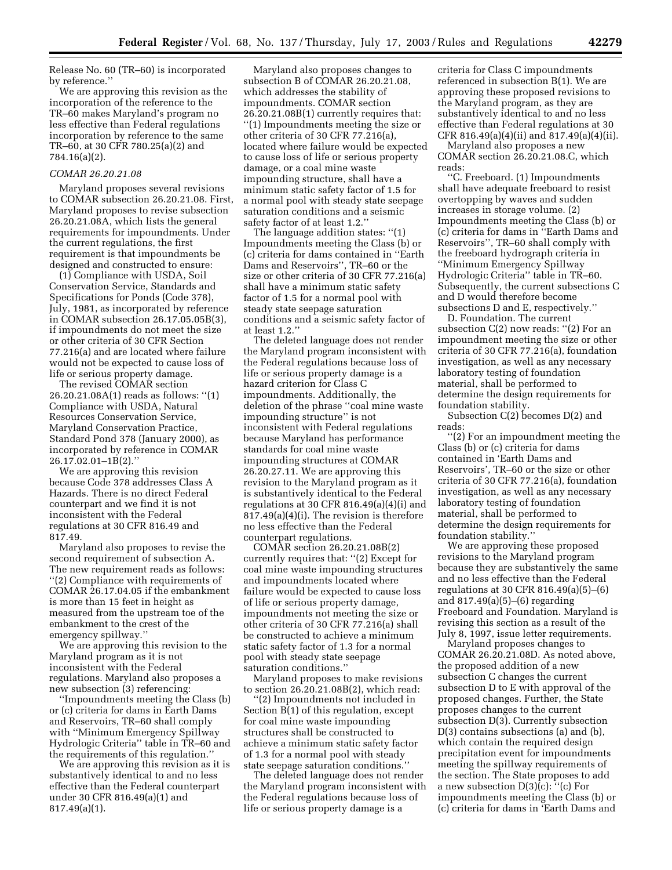Release No. 60 (TR–60) is incorporated by reference.''

We are approving this revision as the incorporation of the reference to the TR–60 makes Maryland's program no less effective than Federal regulations incorporation by reference to the same TR–60, at 30 CFR 780.25(a)(2) and 784.16(a)(2).

### *COMAR 26.20.21.08*

Maryland proposes several revisions to COMAR subsection 26.20.21.08. First, Maryland proposes to revise subsection 26.20.21.08A, which lists the general requirements for impoundments. Under the current regulations, the first requirement is that impoundments be designed and constructed to ensure:

(1) Compliance with USDA, Soil Conservation Service, Standards and Specifications for Ponds (Code 378), July, 1981, as incorporated by reference in COMAR subsection 26.17.05.05B(3), if impoundments do not meet the size or other criteria of 30 CFR Section 77.216(a) and are located where failure would not be expected to cause loss of life or serious property damage.

The revised COMAR section 26.20.21.08A(1) reads as follows: ''(1) Compliance with USDA, Natural Resources Conservation Service, Maryland Conservation Practice, Standard Pond 378 (January 2000), as incorporated by reference in COMAR 26.17.02.01–1B(2).''

We are approving this revision because Code 378 addresses Class A Hazards. There is no direct Federal counterpart and we find it is not inconsistent with the Federal regulations at 30 CFR 816.49 and 817.49.

Maryland also proposes to revise the second requirement of subsection A. The new requirement reads as follows: ''(2) Compliance with requirements of COMAR 26.17.04.05 if the embankment is more than 15 feet in height as measured from the upstream toe of the embankment to the crest of the emergency spillway.''

We are approving this revision to the Maryland program as it is not inconsistent with the Federal regulations. Maryland also proposes a new subsection (3) referencing:

''Impoundments meeting the Class (b) or (c) criteria for dams in Earth Dams and Reservoirs, TR–60 shall comply with ''Minimum Emergency Spillway Hydrologic Criteria'' table in TR–60 and the requirements of this regulation.''

We are approving this revision as it is substantively identical to and no less effective than the Federal counterpart under 30 CFR 816.49(a)(1) and 817.49(a)(1).

Maryland also proposes changes to subsection B of COMAR 26.20.21.08, which addresses the stability of impoundments. COMAR section 26.20.21.08B(1) currently requires that: ''(1) Impoundments meeting the size or other criteria of 30 CFR 77.216(a), located where failure would be expected to cause loss of life or serious property damage, or a coal mine waste impounding structure, shall have a minimum static safety factor of 1.5 for a normal pool with steady state seepage saturation conditions and a seismic safety factor of at least 1.2.''

The language addition states: ''(1) Impoundments meeting the Class (b) or (c) criteria for dams contained in ''Earth Dams and Reservoirs'', TR–60 or the size or other criteria of 30 CFR 77.216(a) shall have a minimum static safety factor of 1.5 for a normal pool with steady state seepage saturation conditions and a seismic safety factor of at least 1.2.''

The deleted language does not render the Maryland program inconsistent with the Federal regulations because loss of life or serious property damage is a hazard criterion for Class C impoundments. Additionally, the deletion of the phrase ''coal mine waste impounding structure'' is not inconsistent with Federal regulations because Maryland has performance standards for coal mine waste impounding structures at COMAR 26.20.27.11. We are approving this revision to the Maryland program as it is substantively identical to the Federal regulations at 30 CFR 816.49(a)(4)(i) and 817.49(a)(4)(i). The revision is therefore no less effective than the Federal counterpart regulations.

COMAR section 26.20.21.08B(2) currently requires that: ''(2) Except for coal mine waste impounding structures and impoundments located where failure would be expected to cause loss of life or serious property damage, impoundments not meeting the size or other criteria of 30 CFR 77.216(a) shall be constructed to achieve a minimum static safety factor of 1.3 for a normal pool with steady state seepage saturation conditions.''

Maryland proposes to make revisions to section 26.20.21.08B(2), which read:

''(2) Impoundments not included in Section B(1) of this regulation, except for coal mine waste impounding structures shall be constructed to achieve a minimum static safety factor of 1.3 for a normal pool with steady state seepage saturation conditions.''

The deleted language does not render the Maryland program inconsistent with the Federal regulations because loss of life or serious property damage is a

criteria for Class C impoundments referenced in subsection B(1). We are approving these proposed revisions to the Maryland program, as they are substantively identical to and no less effective than Federal regulations at 30 CFR 816.49(a)(4)(ii) and 817.49(a)(4)(ii).

Maryland also proposes a new COMAR section 26.20.21.08.C, which reads:

''C. Freeboard. (1) Impoundments shall have adequate freeboard to resist overtopping by waves and sudden increases in storage volume. (2) Impoundments meeting the Class (b) or (c) criteria for dams in ''Earth Dams and Reservoirs'', TR–60 shall comply with the freeboard hydrograph criteria in ''Minimum Emergency Spillway Hydrologic Criteria'' table in TR–60. Subsequently, the current subsections C and D would therefore become subsections D and E, respectively.''

D. Foundation. The current subsection C(2) now reads: "(2) For an impoundment meeting the size or other criteria of 30 CFR 77.216(a), foundation investigation, as well as any necessary laboratory testing of foundation material, shall be performed to determine the design requirements for foundation stability.

Subsection C(2) becomes D(2) and reads:

''(2) For an impoundment meeting the Class (b) or (c) criteria for dams contained in 'Earth Dams and Reservoirs', TR–60 or the size or other criteria of 30 CFR 77.216(a), foundation investigation, as well as any necessary laboratory testing of foundation material, shall be performed to determine the design requirements for foundation stability.''

We are approving these proposed revisions to the Maryland program because they are substantively the same and no less effective than the Federal regulations at 30 CFR 816.49(a)(5)–(6) and 817.49(a)(5)–(6) regarding Freeboard and Foundation. Maryland is revising this section as a result of the July 8, 1997, issue letter requirements.

Maryland proposes changes to COMAR 26.20.21.08D. As noted above, the proposed addition of a new subsection C changes the current subsection D to E with approval of the proposed changes. Further, the State proposes changes to the current subsection D(3). Currently subsection D(3) contains subsections (a) and (b), which contain the required design precipitation event for impoundments meeting the spillway requirements of the section. The State proposes to add a new subsection  $D(3)\bar{c}$ : "(c) For impoundments meeting the Class (b) or (c) criteria for dams in 'Earth Dams and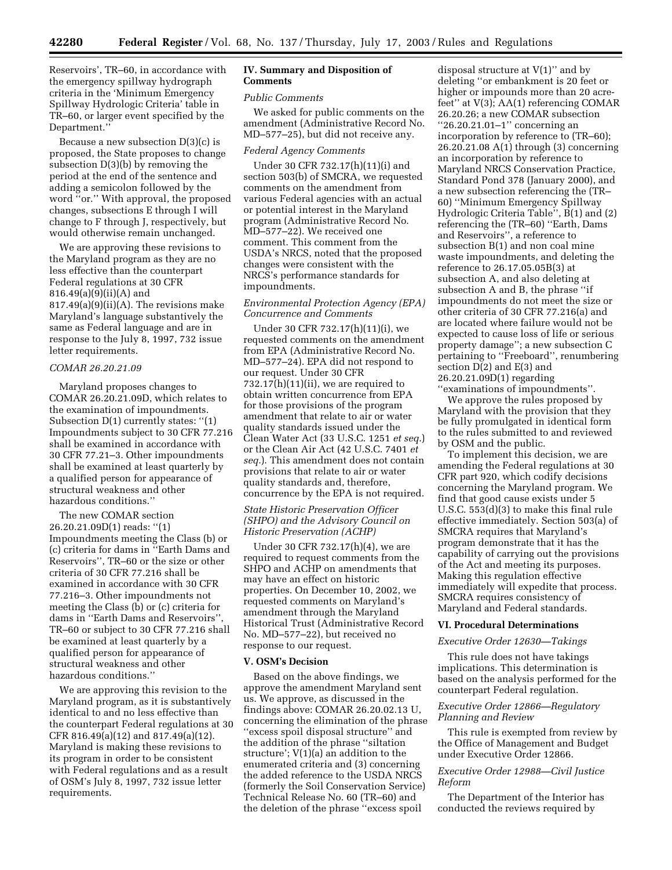Reservoirs', TR–60, in accordance with the emergency spillway hydrograph criteria in the 'Minimum Emergency Spillway Hydrologic Criteria' table in TR–60, or larger event specified by the Department.''

Because a new subsection D(3)(c) is proposed, the State proposes to change subsection D(3)(b) by removing the period at the end of the sentence and adding a semicolon followed by the word ''or.'' With approval, the proposed changes, subsections E through I will change to F through J, respectively, but would otherwise remain unchanged.

We are approving these revisions to the Maryland program as they are no less effective than the counterpart Federal regulations at 30 CFR 816.49(a)(9)(ii)(A) and  $817.49(a)(9)(ii)(A)$ . The revisions make Maryland's language substantively the same as Federal language and are in response to the July 8, 1997, 732 issue letter requirements.

### *COMAR 26.20.21.09*

Maryland proposes changes to COMAR 26.20.21.09D, which relates to the examination of impoundments. Subsection D(1) currently states: ''(1) Impoundments subject to 30 CFR 77.216 shall be examined in accordance with 30 CFR 77.21–3. Other impoundments shall be examined at least quarterly by a qualified person for appearance of structural weakness and other hazardous conditions.''

The new COMAR section 26.20.21.09D(1) reads: ''(1) Impoundments meeting the Class (b) or (c) criteria for dams in ''Earth Dams and Reservoirs'', TR–60 or the size or other criteria of 30 CFR 77.216 shall be examined in accordance with 30 CFR 77.216–3. Other impoundments not meeting the Class (b) or (c) criteria for dams in ''Earth Dams and Reservoirs'', TR–60 or subject to 30 CFR 77.216 shall be examined at least quarterly by a qualified person for appearance of structural weakness and other hazardous conditions.''

We are approving this revision to the Maryland program, as it is substantively identical to and no less effective than the counterpart Federal regulations at 30 CFR 816.49(a)(12) and 817.49(a)(12). Maryland is making these revisions to its program in order to be consistent with Federal regulations and as a result of OSM's July 8, 1997, 732 issue letter requirements.

### **IV. Summary and Disposition of Comments**

#### *Public Comments*

We asked for public comments on the amendment (Administrative Record No. MD–577–25), but did not receive any.

### *Federal Agency Comments*

Under 30 CFR 732.17(h)(11)(i) and section 503(b) of SMCRA, we requested comments on the amendment from various Federal agencies with an actual or potential interest in the Maryland program (Administrative Record No. MD–577–22). We received one comment. This comment from the USDA's NRCS, noted that the proposed changes were consistent with the NRCS's performance standards for impoundments.

### *Environmental Protection Agency (EPA) Concurrence and Comments*

Under 30 CFR 732.17(h)(11)(i), we requested comments on the amendment from EPA (Administrative Record No. MD–577–24). EPA did not respond to our request. Under 30 CFR  $732.17(h)(11)(ii)$ , we are required to obtain written concurrence from EPA for those provisions of the program amendment that relate to air or water quality standards issued under the Clean Water Act (33 U.S.C. 1251 *et seq.*) or the Clean Air Act (42 U.S.C. 7401 *et seq.*). This amendment does not contain provisions that relate to air or water quality standards and, therefore, concurrence by the EPA is not required.

# *State Historic Preservation Officer (SHPO) and the Advisory Council on Historic Preservation (ACHP)*

Under 30 CFR 732.17(h)(4), we are required to request comments from the SHPO and ACHP on amendments that may have an effect on historic properties. On December 10, 2002, we requested comments on Maryland's amendment through the Maryland Historical Trust (Administrative Record No. MD–577–22), but received no response to our request.

#### **V. OSM's Decision**

Based on the above findings, we approve the amendment Maryland sent us. We approve, as discussed in the findings above: COMAR 26.20.02.13 U, concerning the elimination of the phrase ''excess spoil disposal structure'' and the addition of the phrase ''siltation structure'; V(1)(a) an addition to the enumerated criteria and (3) concerning the added reference to the USDA NRCS (formerly the Soil Conservation Service) Technical Release No. 60 (TR–60) and the deletion of the phrase ''excess spoil

disposal structure at V(1)'' and by deleting ''or embankment is 20 feet or higher or impounds more than 20 acrefeet'' at V(3); AA(1) referencing COMAR 26.20.26; a new COMAR subsection ''26.20.21.01–1'' concerning an incorporation by reference to (TR–60); 26.20.21.08 A(1) through (3) concerning an incorporation by reference to Maryland NRCS Conservation Practice, Standard Pond 378 (January 2000), and a new subsection referencing the (TR– 60) ''Minimum Emergency Spillway Hydrologic Criteria Table'', B(1) and (2) referencing the (TR–60) ''Earth, Dams and Reservoirs'', a reference to subsection B(1) and non coal mine waste impoundments, and deleting the reference to 26.17.05.05B(3) at subsection A, and also deleting at subsection A and B, the phrase ''if impoundments do not meet the size or other criteria of 30 CFR 77.216(a) and are located where failure would not be expected to cause loss of life or serious property damage''; a new subsection C pertaining to ''Freeboard'', renumbering section D(2) and E(3) and 26.20.21.09D(1) regarding

''examinations of impoundments''. We approve the rules proposed by Maryland with the provision that they be fully promulgated in identical form to the rules submitted to and reviewed by OSM and the public.

To implement this decision, we are amending the Federal regulations at 30 CFR part 920, which codify decisions concerning the Maryland program. We find that good cause exists under 5 U.S.C. 553(d)(3) to make this final rule effective immediately. Section 503(a) of SMCRA requires that Maryland's program demonstrate that it has the capability of carrying out the provisions of the Act and meeting its purposes. Making this regulation effective immediately will expedite that process. SMCRA requires consistency of Maryland and Federal standards.

#### **VI. Procedural Determinations**

#### *Executive Order 12630—Takings*

This rule does not have takings implications. This determination is based on the analysis performed for the counterpart Federal regulation.

### *Executive Order 12866—Regulatory Planning and Review*

This rule is exempted from review by the Office of Management and Budget under Executive Order 12866.

### *Executive Order 12988—Civil Justice Reform*

The Department of the Interior has conducted the reviews required by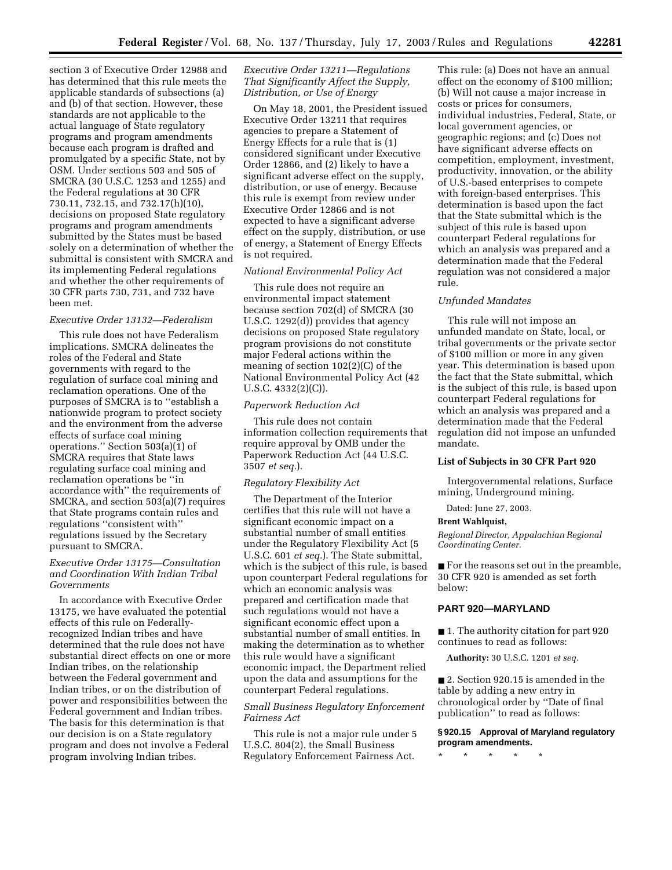section 3 of Executive Order 12988 and has determined that this rule meets the applicable standards of subsections (a) and (b) of that section. However, these standards are not applicable to the actual language of State regulatory programs and program amendments because each program is drafted and promulgated by a specific State, not by OSM. Under sections 503 and 505 of SMCRA (30 U.S.C. 1253 and 1255) and the Federal regulations at 30 CFR 730.11, 732.15, and 732.17(h)(10), decisions on proposed State regulatory programs and program amendments submitted by the States must be based solely on a determination of whether the submittal is consistent with SMCRA and its implementing Federal regulations and whether the other requirements of 30 CFR parts 730, 731, and 732 have been met.

# *Executive Order 13132—Federalism*

This rule does not have Federalism implications. SMCRA delineates the roles of the Federal and State governments with regard to the regulation of surface coal mining and reclamation operations. One of the purposes of SMCRA is to ''establish a nationwide program to protect society and the environment from the adverse effects of surface coal mining operations." Section  $503(a)(1)$  of SMCRA requires that State laws regulating surface coal mining and reclamation operations be ''in accordance with'' the requirements of SMCRA, and section 503(a)(7) requires that State programs contain rules and regulations ''consistent with'' regulations issued by the Secretary pursuant to SMCRA.

# *Executive Order 13175—Consultation and Coordination With Indian Tribal Governments*

In accordance with Executive Order 13175, we have evaluated the potential effects of this rule on Federallyrecognized Indian tribes and have determined that the rule does not have substantial direct effects on one or more Indian tribes, on the relationship between the Federal government and Indian tribes, or on the distribution of power and responsibilities between the Federal government and Indian tribes. The basis for this determination is that our decision is on a State regulatory program and does not involve a Federal program involving Indian tribes.

# *Executive Order 13211—Regulations That Significantly Affect the Supply, Distribution, or Use of Energy*

On May 18, 2001, the President issued Executive Order 13211 that requires agencies to prepare a Statement of Energy Effects for a rule that is (1) considered significant under Executive Order 12866, and (2) likely to have a significant adverse effect on the supply, distribution, or use of energy. Because this rule is exempt from review under Executive Order 12866 and is not expected to have a significant adverse effect on the supply, distribution, or use of energy, a Statement of Energy Effects is not required.

#### *National Environmental Policy Act*

This rule does not require an environmental impact statement because section 702(d) of SMCRA (30 U.S.C. 1292(d)) provides that agency decisions on proposed State regulatory program provisions do not constitute major Federal actions within the meaning of section 102(2)(C) of the National Environmental Policy Act (42 U.S.C. 4332(2)(C)).

### *Paperwork Reduction Act*

This rule does not contain information collection requirements that require approval by OMB under the Paperwork Reduction Act (44 U.S.C. 3507 *et seq.*).

### *Regulatory Flexibility Act*

The Department of the Interior certifies that this rule will not have a significant economic impact on a substantial number of small entities under the Regulatory Flexibility Act (5 U.S.C. 601 *et seq.*). The State submittal, which is the subject of this rule, is based upon counterpart Federal regulations for which an economic analysis was prepared and certification made that such regulations would not have a significant economic effect upon a substantial number of small entities. In making the determination as to whether this rule would have a significant economic impact, the Department relied upon the data and assumptions for the counterpart Federal regulations.

### *Small Business Regulatory Enforcement Fairness Act*

This rule is not a major rule under 5 U.S.C. 804(2), the Small Business Regulatory Enforcement Fairness Act.

This rule: (a) Does not have an annual effect on the economy of \$100 million; (b) Will not cause a major increase in costs or prices for consumers, individual industries, Federal, State, or local government agencies, or geographic regions; and (c) Does not have significant adverse effects on competition, employment, investment, productivity, innovation, or the ability of U.S.-based enterprises to compete with foreign-based enterprises. This determination is based upon the fact that the State submittal which is the subject of this rule is based upon counterpart Federal regulations for which an analysis was prepared and a determination made that the Federal regulation was not considered a major rule.

#### *Unfunded Mandates*

This rule will not impose an unfunded mandate on State, local, or tribal governments or the private sector of \$100 million or more in any given year. This determination is based upon the fact that the State submittal, which is the subject of this rule, is based upon counterpart Federal regulations for which an analysis was prepared and a determination made that the Federal regulation did not impose an unfunded mandate.

#### **List of Subjects in 30 CFR Part 920**

Intergovernmental relations, Surface mining, Underground mining.

Dated: June 27, 2003.

### **Brent Wahlquist,**

*Regional Director, Appalachian Regional Coordinating Center.*

■ For the reasons set out in the preamble, 30 CFR 920 is amended as set forth below:

### **PART 920—MARYLAND**

■ 1. The authority citation for part 920 continues to read as follows:

**Authority:** 30 U.S.C. 1201 *et seq.*

■ 2. Section 920.15 is amended in the table by adding a new entry in chronological order by ''Date of final publication'' to read as follows:

### **§ 920.15 Approval of Maryland regulatory program amendments.**

\* \* \* \* \*